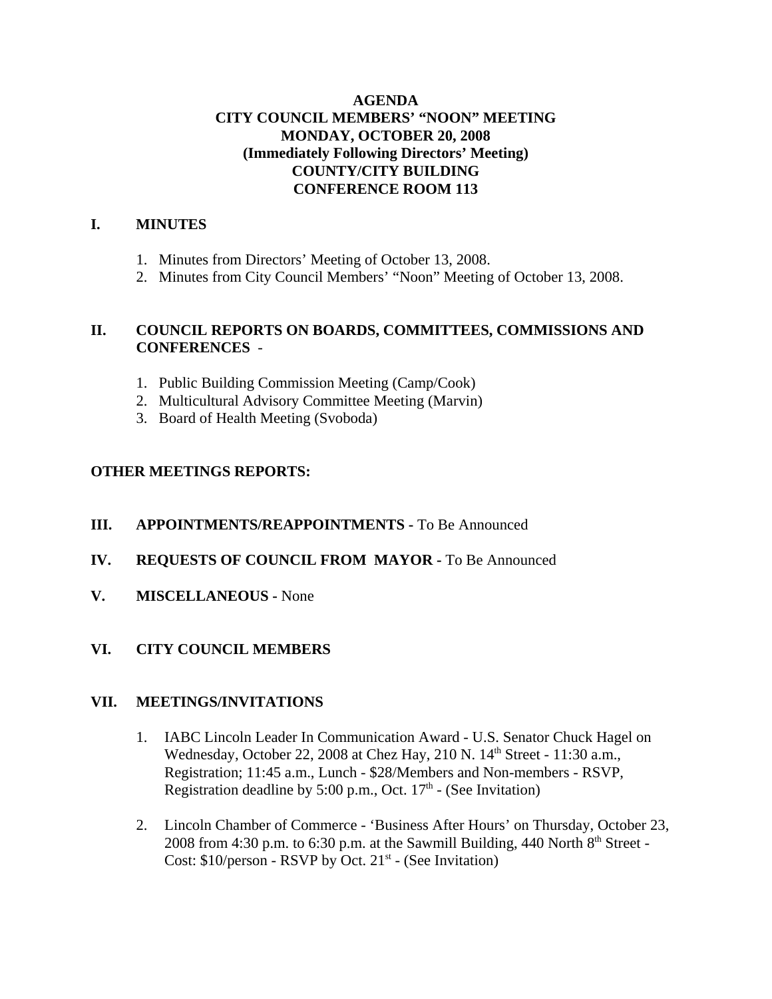# **AGENDA CITY COUNCIL MEMBERS' "NOON" MEETING MONDAY, OCTOBER 20, 2008 (Immediately Following Directors' Meeting) COUNTY/CITY BUILDING CONFERENCE ROOM 113**

# **I. MINUTES**

- 1. Minutes from Directors' Meeting of October 13, 2008.
- 2. Minutes from City Council Members' "Noon" Meeting of October 13, 2008.

#### **II. COUNCIL REPORTS ON BOARDS, COMMITTEES, COMMISSIONS AND CONFERENCES** -

- 1. Public Building Commission Meeting (Camp/Cook)
- 2. Multicultural Advisory Committee Meeting (Marvin)
- 3. Board of Health Meeting (Svoboda)

# **OTHER MEETINGS REPORTS:**

- **III.** APPOINTMENTS/REAPPOINTMENTS To Be Announced
- **IV. REQUESTS OF COUNCIL FROM MAYOR -** To Be Announced
- **V. MISCELLANEOUS -** None

# **VI. CITY COUNCIL MEMBERS**

#### **VII. MEETINGS/INVITATIONS**

- 1. IABC Lincoln Leader In Communication Award U.S. Senator Chuck Hagel on Wednesday, October 22, 2008 at Chez Hay, 210 N. 14<sup>th</sup> Street - 11:30 a.m., Registration; 11:45 a.m., Lunch - \$28/Members and Non-members - RSVP, Registration deadline by 5:00 p.m., Oct.  $17<sup>th</sup>$  - (See Invitation)
- 2. Lincoln Chamber of Commerce 'Business After Hours' on Thursday, October 23, 2008 from 4:30 p.m. to 6:30 p.m. at the Sawmill Building, 440 North  $8<sup>th</sup>$  Street -Cost:  $$10/person - RSVP$  by Oct.  $21<sup>st</sup> - (See Invitation)$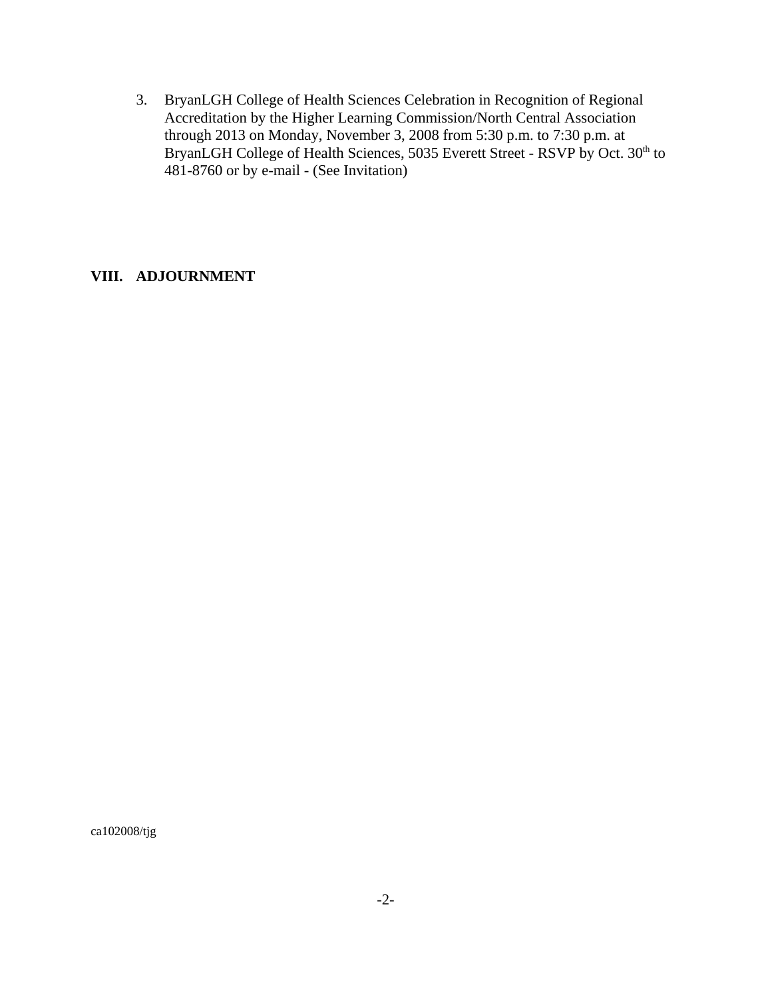3. BryanLGH College of Health Sciences Celebration in Recognition of Regional Accreditation by the Higher Learning Commission/North Central Association through 2013 on Monday, November 3, 2008 from 5:30 p.m. to 7:30 p.m. at BryanLGH College of Health Sciences, 5035 Everett Street - RSVP by Oct. 30<sup>th</sup> to 481-8760 or by e-mail - (See Invitation)

#### **VIII. ADJOURNMENT**

ca102008/tjg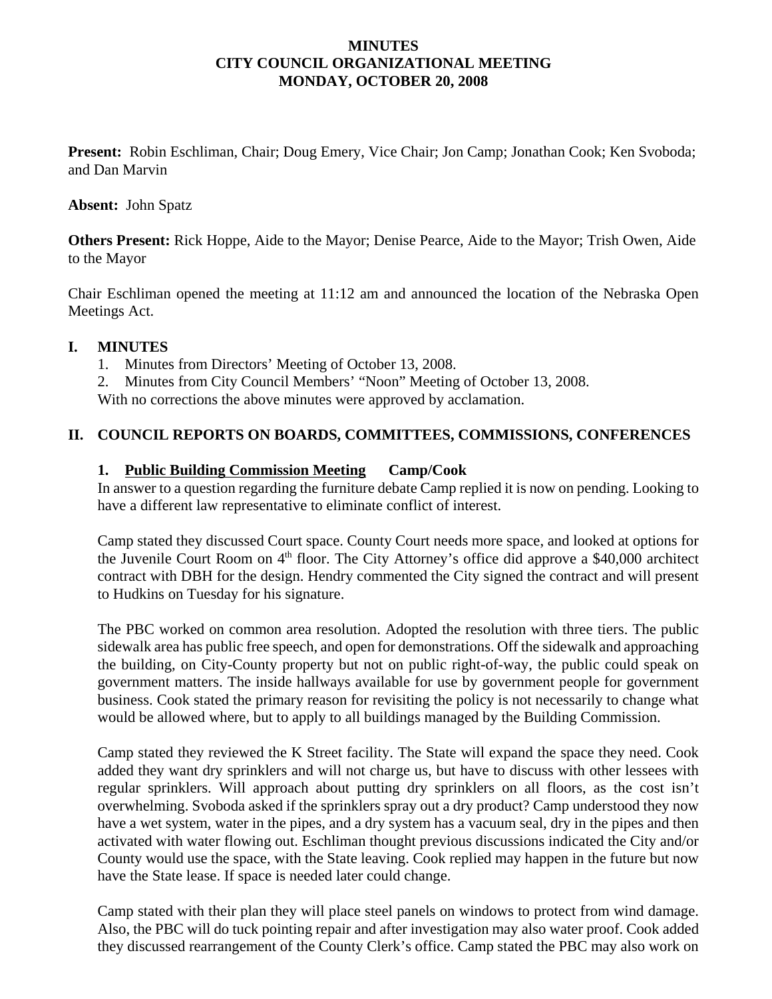#### **MINUTES CITY COUNCIL ORGANIZATIONAL MEETING MONDAY, OCTOBER 20, 2008**

**Present:** Robin Eschliman, Chair; Doug Emery, Vice Chair; Jon Camp; Jonathan Cook; Ken Svoboda; and Dan Marvin

#### **Absent:** John Spatz

**Others Present:** Rick Hoppe, Aide to the Mayor; Denise Pearce, Aide to the Mayor; Trish Owen, Aide to the Mayor

Chair Eschliman opened the meeting at 11:12 am and announced the location of the Nebraska Open Meetings Act.

#### **I. MINUTES**

- 1. Minutes from Directors' Meeting of October 13, 2008.
- 2. Minutes from City Council Members' "Noon" Meeting of October 13, 2008.

With no corrections the above minutes were approved by acclamation.

# **II. COUNCIL REPORTS ON BOARDS, COMMITTEES, COMMISSIONS, CONFERENCES**

# **1. Public Building Commission Meeting Camp/Cook**

In answer to a question regarding the furniture debate Camp replied it is now on pending. Looking to have a different law representative to eliminate conflict of interest.

Camp stated they discussed Court space. County Court needs more space, and looked at options for the Juvenile Court Room on 4<sup>th</sup> floor. The City Attorney's office did approve a \$40,000 architect contract with DBH for the design. Hendry commented the City signed the contract and will present to Hudkins on Tuesday for his signature.

The PBC worked on common area resolution. Adopted the resolution with three tiers. The public sidewalk area has public free speech, and open for demonstrations. Off the sidewalk and approaching the building, on City-County property but not on public right-of-way, the public could speak on government matters. The inside hallways available for use by government people for government business. Cook stated the primary reason for revisiting the policy is not necessarily to change what would be allowed where, but to apply to all buildings managed by the Building Commission.

Camp stated they reviewed the K Street facility. The State will expand the space they need. Cook added they want dry sprinklers and will not charge us, but have to discuss with other lessees with regular sprinklers. Will approach about putting dry sprinklers on all floors, as the cost isn't overwhelming. Svoboda asked if the sprinklers spray out a dry product? Camp understood they now have a wet system, water in the pipes, and a dry system has a vacuum seal, dry in the pipes and then activated with water flowing out. Eschliman thought previous discussions indicated the City and/or County would use the space, with the State leaving. Cook replied may happen in the future but now have the State lease. If space is needed later could change.

Camp stated with their plan they will place steel panels on windows to protect from wind damage. Also, the PBC will do tuck pointing repair and after investigation may also water proof. Cook added they discussed rearrangement of the County Clerk's office. Camp stated the PBC may also work on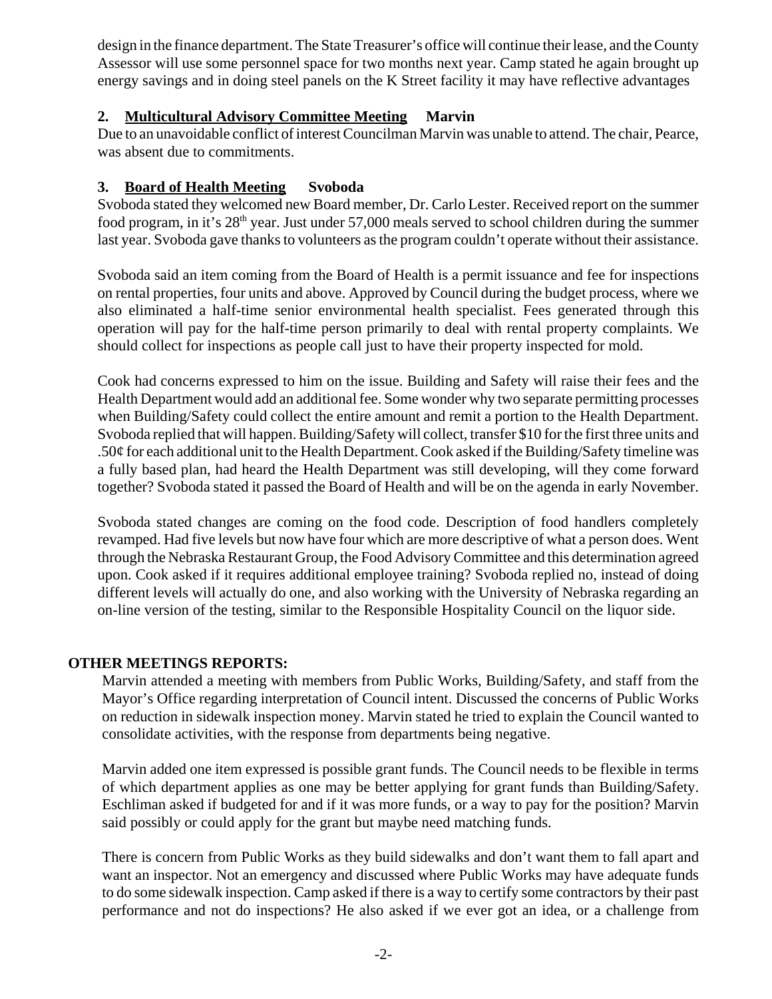design in the finance department. The State Treasurer's office will continue their lease, and the County Assessor will use some personnel space for two months next year. Camp stated he again brought up energy savings and in doing steel panels on the K Street facility it may have reflective advantages

# **2. Multicultural Advisory Committee Meeting Marvin**

Due to an unavoidable conflict of interest Councilman Marvin was unable to attend. The chair, Pearce, was absent due to commitments.

# **3. Board of Health Meeting Svoboda**

Svoboda stated they welcomed new Board member, Dr. Carlo Lester. Received report on the summer food program, in it's 28<sup>th</sup> year. Just under 57,000 meals served to school children during the summer last year. Svoboda gave thanks to volunteers as the program couldn't operate without their assistance.

Svoboda said an item coming from the Board of Health is a permit issuance and fee for inspections on rental properties, four units and above. Approved by Council during the budget process, where we also eliminated a half-time senior environmental health specialist. Fees generated through this operation will pay for the half-time person primarily to deal with rental property complaints. We should collect for inspections as people call just to have their property inspected for mold.

Cook had concerns expressed to him on the issue. Building and Safety will raise their fees and the Health Department would add an additional fee. Some wonder why two separate permitting processes when Building/Safety could collect the entire amount and remit a portion to the Health Department. Svoboda replied that will happen. Building/Safety will collect, transfer \$10 for the first three units and .50¢ for each additional unit to the Health Department. Cook asked if the Building/Safety timeline was a fully based plan, had heard the Health Department was still developing, will they come forward together? Svoboda stated it passed the Board of Health and will be on the agenda in early November.

Svoboda stated changes are coming on the food code. Description of food handlers completely revamped. Had five levels but now have four which are more descriptive of what a person does. Went through the Nebraska Restaurant Group, the Food Advisory Committee and this determination agreed upon. Cook asked if it requires additional employee training? Svoboda replied no, instead of doing different levels will actually do one, and also working with the University of Nebraska regarding an on-line version of the testing, similar to the Responsible Hospitality Council on the liquor side.

# **OTHER MEETINGS REPORTS:**

Marvin attended a meeting with members from Public Works, Building/Safety, and staff from the Mayor's Office regarding interpretation of Council intent. Discussed the concerns of Public Works on reduction in sidewalk inspection money. Marvin stated he tried to explain the Council wanted to consolidate activities, with the response from departments being negative.

Marvin added one item expressed is possible grant funds. The Council needs to be flexible in terms of which department applies as one may be better applying for grant funds than Building/Safety. Eschliman asked if budgeted for and if it was more funds, or a way to pay for the position? Marvin said possibly or could apply for the grant but maybe need matching funds.

There is concern from Public Works as they build sidewalks and don't want them to fall apart and want an inspector. Not an emergency and discussed where Public Works may have adequate funds to do some sidewalk inspection. Camp asked if there is a way to certify some contractors by their past performance and not do inspections? He also asked if we ever got an idea, or a challenge from